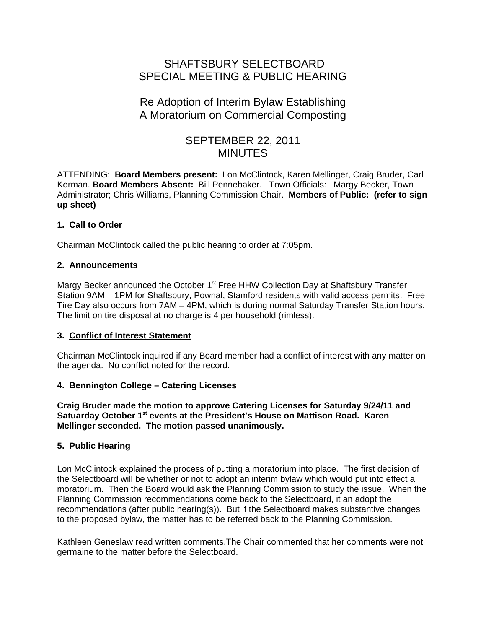# SHAFTSBURY SELECTBOARD SPECIAL MEETING & PUBLIC HEARING

## Re Adoption of Interim Bylaw Establishing A Moratorium on Commercial Composting

# SEPTEMBER 22, 2011 **MINUTES**

ATTENDING: **Board Members present:** Lon McClintock, Karen Mellinger, Craig Bruder, Carl Korman. **Board Members Absent:** Bill Pennebaker. Town Officials: Margy Becker, Town Administrator; Chris Williams, Planning Commission Chair. **Members of Public: (refer to sign up sheet)**

### **1. Call to Order**

Chairman McClintock called the public hearing to order at 7:05pm.

### **2. Announcements**

Margy Becker announced the October 1<sup>st</sup> Free HHW Collection Day at Shaftsbury Transfer Station 9AM – 1PM for Shaftsbury, Pownal, Stamford residents with valid access permits. Free Tire Day also occurs from 7AM – 4PM, which is during normal Saturday Transfer Station hours. The limit on tire disposal at no charge is 4 per household (rimless).

#### **3. Conflict of Interest Statement**

Chairman McClintock inquired if any Board member had a conflict of interest with any matter on the agenda. No conflict noted for the record.

#### **4. Bennington College – Catering Licenses**

**Craig Bruder made the motion to approve Catering Licenses for Saturday 9/24/11 and Satuarday October 1st events at the President's House on Mattison Road. Karen Mellinger seconded. The motion passed unanimously.**

#### **5. Public Hearing**

Lon McClintock explained the process of putting a moratorium into place. The first decision of the Selectboard will be whether or not to adopt an interim bylaw which would put into effect a moratorium. Then the Board would ask the Planning Commission to study the issue. When the Planning Commission recommendations come back to the Selectboard, it an adopt the recommendations (after public hearing(s)). But if the Selectboard makes substantive changes to the proposed bylaw, the matter has to be referred back to the Planning Commission.

Kathleen Geneslaw read written comments.The Chair commented that her comments were not germaine to the matter before the Selectboard.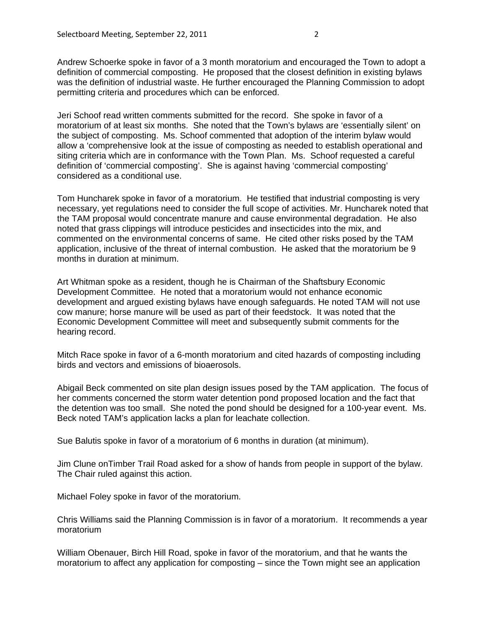Andrew Schoerke spoke in favor of a 3 month moratorium and encouraged the Town to adopt a definition of commercial composting. He proposed that the closest definition in existing bylaws was the definition of industrial waste. He further encouraged the Planning Commission to adopt permitting criteria and procedures which can be enforced.

Jeri Schoof read written comments submitted for the record. She spoke in favor of a moratorium of at least six months. She noted that the Town's bylaws are 'essentially silent' on the subject of composting. Ms. Schoof commented that adoption of the interim bylaw would allow a 'comprehensive look at the issue of composting as needed to establish operational and siting criteria which are in conformance with the Town Plan. Ms. Schoof requested a careful definition of 'commercial composting'. She is against having 'commercial composting' considered as a conditional use.

Tom Huncharek spoke in favor of a moratorium. He testified that industrial composting is very necessary, yet regulations need to consider the full scope of activities. Mr. Huncharek noted that the TAM proposal would concentrate manure and cause environmental degradation. He also noted that grass clippings will introduce pesticides and insecticides into the mix, and commented on the environmental concerns of same. He cited other risks posed by the TAM application, inclusive of the threat of internal combustion. He asked that the moratorium be 9 months in duration at minimum.

Art Whitman spoke as a resident, though he is Chairman of the Shaftsbury Economic Development Committee. He noted that a moratorium would not enhance economic development and argued existing bylaws have enough safeguards. He noted TAM will not use cow manure; horse manure will be used as part of their feedstock. It was noted that the Economic Development Committee will meet and subsequently submit comments for the hearing record.

Mitch Race spoke in favor of a 6-month moratorium and cited hazards of composting including birds and vectors and emissions of bioaerosols.

Abigail Beck commented on site plan design issues posed by the TAM application. The focus of her comments concerned the storm water detention pond proposed location and the fact that the detention was too small. She noted the pond should be designed for a 100-year event. Ms. Beck noted TAM's application lacks a plan for leachate collection.

Sue Balutis spoke in favor of a moratorium of 6 months in duration (at minimum).

Jim Clune onTimber Trail Road asked for a show of hands from people in support of the bylaw. The Chair ruled against this action.

Michael Foley spoke in favor of the moratorium.

Chris Williams said the Planning Commission is in favor of a moratorium. It recommends a year moratorium

William Obenauer, Birch Hill Road, spoke in favor of the moratorium, and that he wants the moratorium to affect any application for composting – since the Town might see an application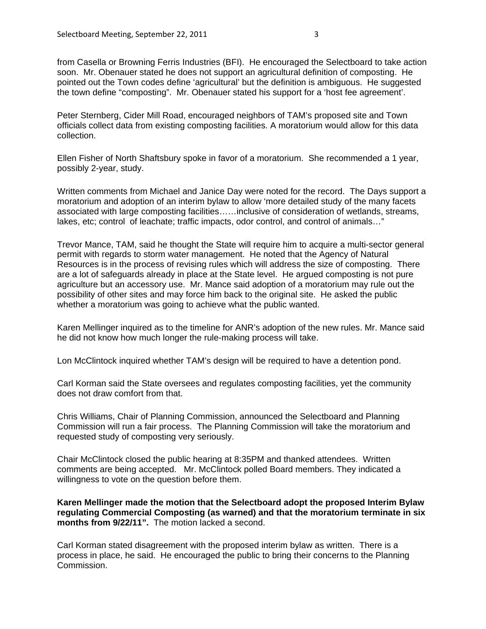from Casella or Browning Ferris Industries (BFI). He encouraged the Selectboard to take action soon. Mr. Obenauer stated he does not support an agricultural definition of composting. He pointed out the Town codes define 'agricultural' but the definition is ambiguous. He suggested the town define "composting". Mr. Obenauer stated his support for a 'host fee agreement'.

Peter Sternberg, Cider Mill Road, encouraged neighbors of TAM's proposed site and Town officials collect data from existing composting facilities. A moratorium would allow for this data collection.

Ellen Fisher of North Shaftsbury spoke in favor of a moratorium. She recommended a 1 year, possibly 2-year, study.

Written comments from Michael and Janice Day were noted for the record. The Days support a moratorium and adoption of an interim bylaw to allow 'more detailed study of the many facets associated with large composting facilities……inclusive of consideration of wetlands, streams, lakes, etc; control of leachate; traffic impacts, odor control, and control of animals…"

Trevor Mance, TAM, said he thought the State will require him to acquire a multi-sector general permit with regards to storm water management. He noted that the Agency of Natural Resources is in the process of revising rules which will address the size of composting. There are a lot of safeguards already in place at the State level. He argued composting is not pure agriculture but an accessory use. Mr. Mance said adoption of a moratorium may rule out the possibility of other sites and may force him back to the original site. He asked the public whether a moratorium was going to achieve what the public wanted.

Karen Mellinger inquired as to the timeline for ANR's adoption of the new rules. Mr. Mance said he did not know how much longer the rule-making process will take.

Lon McClintock inquired whether TAM's design will be required to have a detention pond.

Carl Korman said the State oversees and regulates composting facilities, yet the community does not draw comfort from that.

Chris Williams, Chair of Planning Commission, announced the Selectboard and Planning Commission will run a fair process. The Planning Commission will take the moratorium and requested study of composting very seriously.

Chair McClintock closed the public hearing at 8:35PM and thanked attendees. Written comments are being accepted. Mr. McClintock polled Board members. They indicated a willingness to vote on the question before them.

**Karen Mellinger made the motion that the Selectboard adopt the proposed Interim Bylaw regulating Commercial Composting (as warned) and that the moratorium terminate in six months from 9/22/11".** The motion lacked a second.

Carl Korman stated disagreement with the proposed interim bylaw as written. There is a process in place, he said. He encouraged the public to bring their concerns to the Planning Commission.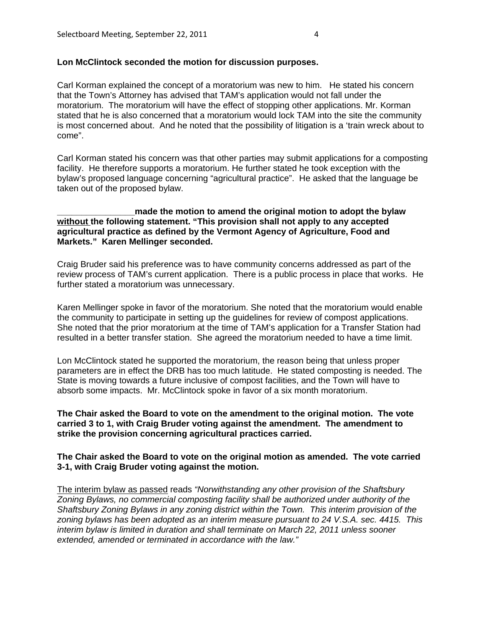#### **Lon McClintock seconded the motion for discussion purposes.**

Carl Korman explained the concept of a moratorium was new to him. He stated his concern that the Town's Attorney has advised that TAM's application would not fall under the moratorium. The moratorium will have the effect of stopping other applications. Mr. Korman stated that he is also concerned that a moratorium would lock TAM into the site the community is most concerned about. And he noted that the possibility of litigation is a 'train wreck about to come".

Carl Korman stated his concern was that other parties may submit applications for a composting facility. He therefore supports a moratorium. He further stated he took exception with the bylaw's proposed language concerning "agricultural practice". He asked that the language be taken out of the proposed bylaw.

#### made the motion to amend the original motion to adopt the bylaw **without the following statement. "This provision shall not apply to any accepted agricultural practice as defined by the Vermont Agency of Agriculture, Food and Markets." Karen Mellinger seconded.**

Craig Bruder said his preference was to have community concerns addressed as part of the review process of TAM's current application. There is a public process in place that works. He further stated a moratorium was unnecessary.

Karen Mellinger spoke in favor of the moratorium. She noted that the moratorium would enable the community to participate in setting up the guidelines for review of compost applications. She noted that the prior moratorium at the time of TAM's application for a Transfer Station had resulted in a better transfer station. She agreed the moratorium needed to have a time limit.

Lon McClintock stated he supported the moratorium, the reason being that unless proper parameters are in effect the DRB has too much latitude. He stated composting is needed. The State is moving towards a future inclusive of compost facilities, and the Town will have to absorb some impacts. Mr. McClintock spoke in favor of a six month moratorium.

**The Chair asked the Board to vote on the amendment to the original motion. The vote carried 3 to 1, with Craig Bruder voting against the amendment. The amendment to strike the provision concerning agricultural practices carried.**

**The Chair asked the Board to vote on the original motion as amended. The vote carried 3-1, with Craig Bruder voting against the motion.** 

The interim bylaw as passed reads *"Norwithstanding any other provision of the Shaftsbury Zoning Bylaws, no commercial composting facility shall be authorized under authority of the Shaftsbury Zoning Bylaws in any zoning district within the Town. This interim provision of the zoning bylaws has been adopted as an interim measure pursuant to 24 V.S.A. sec. 4415. This interim bylaw is limited in duration and shall terminate on March 22, 2011 unless sooner extended, amended or terminated in accordance with the law."*